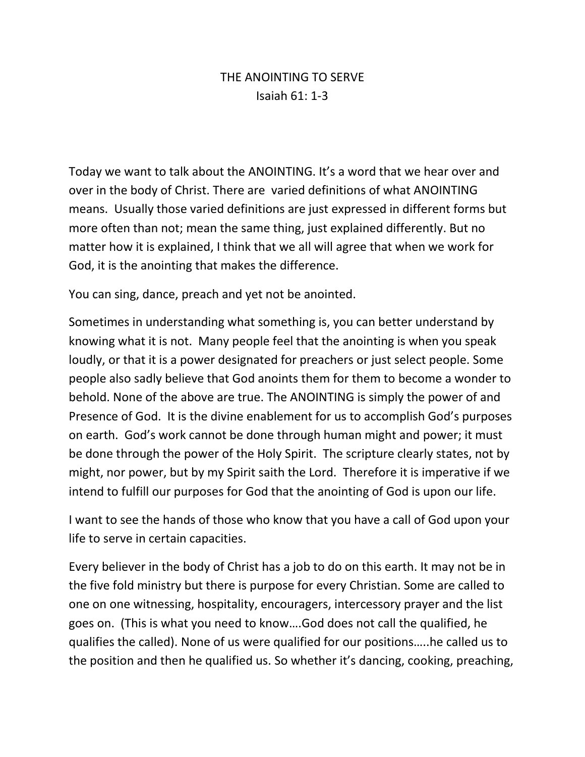## THE ANOINTING TO SERVE Isaiah 61: 1-3

Today we want to talk about the ANOINTING. It's a word that we hear over and over in the body of Christ. There are varied definitions of what ANOINTING means. Usually those varied definitions are just expressed in different forms but more often than not; mean the same thing, just explained differently. But no matter how it is explained, I think that we all will agree that when we work for God, it is the anointing that makes the difference.

You can sing, dance, preach and yet not be anointed.

Sometimes in understanding what something is, you can better understand by knowing what it is not. Many people feel that the anointing is when you speak loudly, or that it is a power designated for preachers or just select people. Some people also sadly believe that God anoints them for them to become a wonder to behold. None of the above are true. The ANOINTING is simply the power of and Presence of God. It is the divine enablement for us to accomplish God's purposes on earth. God's work cannot be done through human might and power; it must be done through the power of the Holy Spirit. The scripture clearly states, not by might, nor power, but by my Spirit saith the Lord. Therefore it is imperative if we intend to fulfill our purposes for God that the anointing of God is upon our life.

I want to see the hands of those who know that you have a call of God upon your life to serve in certain capacities.

Every believer in the body of Christ has a job to do on this earth. It may not be in the five fold ministry but there is purpose for every Christian. Some are called to one on one witnessing, hospitality, encouragers, intercessory prayer and the list goes on. (This is what you need to know….God does not call the qualified, he qualifies the called). None of us were qualified for our positions…..he called us to the position and then he qualified us. So whether it's dancing, cooking, preaching,